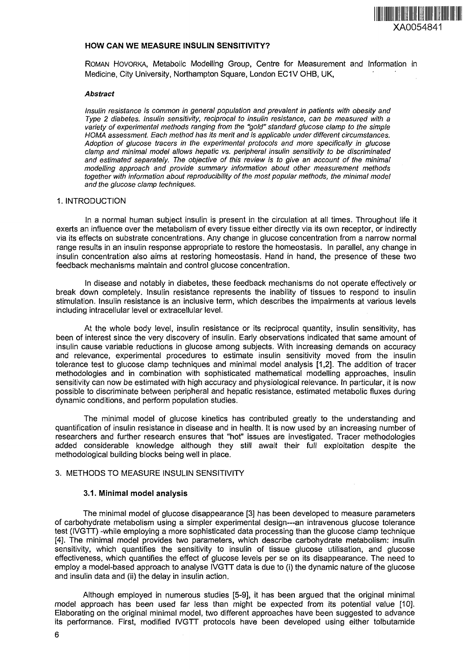

## **HOW CAN WE MEASURE INSULIN SENSITIVITY?**

ROMAN HOVORKA, Metabolic Modelling Group, Centre for Measurement and Information in Medicine, City University, Northampton Square, London EC1V OHB, UK,

#### **Abstract**

Insulin resistance is common in general population and prevalent in patients with obesity and Type 2 diabetes. Insulin sensitivity, reciprocal to insulin resistance, can be measured with a variety of experimental methods ranging from the "gold" standard glucose clamp to the simple HOMA assessment. Each method has its merit and is applicable under different circumstances. Adoption of glucose tracers in the experimental protocols and more specifically in glucose clamp and minimal model allows hepatic vs. peripheral insulin sensitivity to be discriminated and estimated separately. The objective of this review is to give an account of the minimal modelling approach and provide summary information about other measurement methods together with information about reproducibility of the most popular methods, the minimal model and the glucose clamp techniques.

## 1. INTRODUCTION

In a normal human subject insulin is present in the circulation at all times. Throughout life it exerts an influence over the metabolism of every tissue either directly via its own receptor, or indirectly via its effects on substrate concentrations. Any change in glucose concentration from a narrow normal range results in an insulin response appropriate to restore the homeostasis. In parallel, any change in insulin concentration also aims at restoring homeostasis. Hand in hand, the presence of these two feedback mechanisms maintain and control glucose concentration.

In disease and notably in diabetes, these feedback mechanisms do not operate effectively or break down completely. Insulin resistance represents the inability of tissues to respond to insulin stimulation. Insulin resistance is an inclusive term, which describes the impairments at various levels including intracellular level or extracellular level.

At the whole body level, insulin resistance or its reciprocal quantity, insulin sensitivity, has been of interest since the very discovery of insulin. Early observations indicated that same amount of insulin cause variable reductions in glucose among subjects. With increasing demands on accuracy and relevance, experimental procedures to estimate insulin sensitivity moved from the insulin tolerance test to glucose clamp techniques and minimal model analysis [1,2]. The addition of tracer methodologies and in combination with sophisticated mathematical modelling approaches, insulin sensitivity can now be estimated with high accuracy and physiological relevance. In particular, it is now possible to discriminate between peripheral and hepatic resistance, estimated metabolic fluxes during dynamic conditions, and perform population studies.

The minimal model of glucose kinetics has contributed greatly to the understanding and quantification of insulin resistance in disease and in health. It is now used by an increasing number of researchers and further research ensures that "hot" issues are investigated. Tracer methodologies added considerable knowledge although they still await their full exploitation despite the methodological building blocks being well in place.

## 3. METHODS TO MEASURE INSULIN SENSITIVITY

# **3.1. Minimal model analysis**

The minimal model of glucose disappearance [3] has been developed to measure parameters of carbohydrate metabolism using a simpler experimental design—an intravenous glucose tolerance test (IVGTT) -while employing a more sophisticated data processing than the glucose clamp technique [4]. The minimal model provides two parameters, which describe carbohydrate metabolism: insulin sensitivity, which quantifies the sensitivity to insulin of tissue glucose utilisation, and glucose effectiveness, which quantifies the effect of glucose levels per se on its disappearance. The need to employ a model-based approach to analyse IVGTT data is due to (i) the dynamic nature of the glucose and insulin data and (ii) the delay in insulin action.

Although employed in numerous studies [5-9], it has been argued that the original minimal model approach has been used far less than might be expected from its potential value [10]. Elaborating on the original minimal model, two different approaches have been suggested to advance its performance. First, modified IVGTT protocols have been developed using either tolbutamide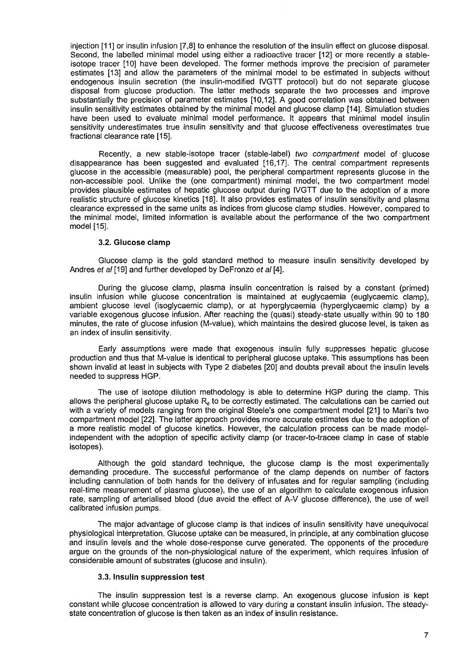injection [11] or insulin infusion [7,8] to enhance the resolution of the insulin effect on glucose disposal. Second, the labelled minimal model using either a radioactive tracer [12] or more recently a stableisotope tracer [10] have been developed. The former methods improve the precision of parameter estimates [13] and allow the parameters of the minimal model to be estimated in subjects without endogenous insulin secretion (the insulin-modified IVGTT protocol) but do not separate glucose disposal from glucose production. The latter methods separate the two processes and improve substantially the precision of parameter estimates [10,12]. A good correlation was obtained between insulin sensitivity estimates obtained by the minimal model and glucose clamp [14]. Simulation studies have been used to evaluate minimal model performance. It appears that minimal model insulin sensitivity underestimates true insulin sensitivity and that glucose effectiveness overestimates true fractional clearance rate [15].

Recently, a new stable-isotope tracer (stable-label) two compartment model of glucose disappearance has been suggested and evaluated [16,17]. The central compartment represents glucose in the accessible (measurable) pool, the peripheral compartment represents glucose in the non-accessible pool. Unlike the (one compartment) minimal model, the two compartment model provides plausible estimates of hepatic glucose output during IVGTT due to the adoption of a more realistic structure of glucose kinetics [18]. It also provides estimates of insulin sensitivity and plasma clearance expressed in the same units as indices from glucose clamp studies. However, compared to the minimal model, limited information is available about the performance of the two compartment model [15].

## **3.2. Glucose clamp**

Glucose clamp is the gold standard method to measure insulin sensitivity developed by Andres et al [19] and further developed by DeFronzo et al [4].

During the glucose clamp, plasma insulin concentration is raised by a constant (primed) insulin infusion while glucose concentration is maintained at euglycaemia (euglycaemic clamp), ambient glucose level (isoglycaemic clamp), or at hyperglycaemia (hyperglycaemic clamp) by a variable exogenous glucose infusion. After reaching the (quasi) steady-state usually within 90 to 180 minutes, the rate of glucose infusion (M-value), which maintains the desired glucose level, is taken as an index of insulin sensitivity.

Early assumptions were made that exogenous insulin fully suppresses hepatic glucose production and thus that M-value is identical to peripheral glucose uptake. This assumptions has been shown invalid at least in subjects with Type 2 diabetes [20] and doubts prevail about the insulin levels needed to suppress HGP.

The use of isotope dilution methodology is able to determine HGP during the clamp. This allows the peripheral glucose uptake  $R_d$  to be correctly estimated. The calculations can be carried out with a variety of models ranging from the original Steele's one compartment model [21] to Mari's two compartment model [22]. The latter approach provides more accurate estimates due to the adoption of a more realistic model of glucose kinetics. However, the calculation process can be made modelindependent with the adoption of specific activity clamp (or tracer-to-tracee clamp in case of stable isotopes).

Although the gold standard technique, the glucose clamp is the most experimentally demanding procedure. The successful performance of the clamp depends on number of factors including cannulation of both hands for the delivery of infusates and for regular sampling (including real-time measurement of plasma glucose), the use of an algorithm to calculate exogenous infusion rate, sampling of arterialised blood (due avoid the effect of A-V glucose difference), the use of well calibrated infusion pumps.

The major advantage of glucose clamp is that indices of insulin sensitivity have unequivocal physiological interpretation. Glucose uptake can be measured, in principle, at any combination glucose and insulin levels and the whole dose-response curve generated. The opponents of the procedure argue on the grounds of the non-physiological nature of the experiment, which requires infusion of considerable amount of substrates (glucose and insulin).

## **3.3. Insulin suppression test**

The insulin suppression test is a reverse clamp. An exogenous glucose infusion is kept constant while glucose concentration is allowed to vary during a constant insulin infusion. The steadystate concentration of glucose is then taken as an index of insulin resistance.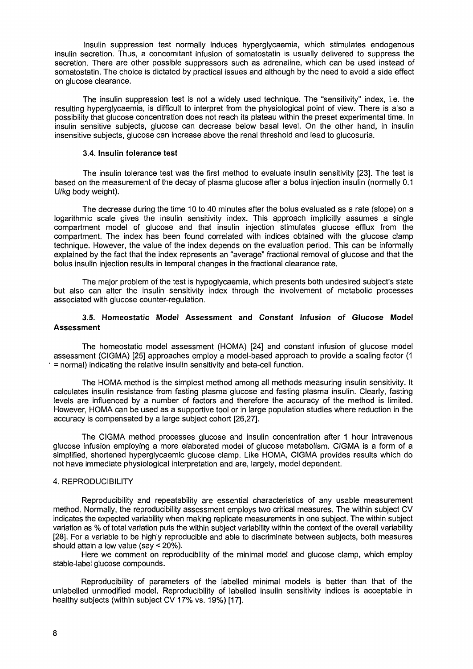Insulin suppression test normally induces hyperglycaemia, which stimulates endogenous insulin secretion. Thus, a concomitant infusion of somatostatin is usually delivered to suppress the secretion. There are other possible suppressors such as adrenaline, which can be used instead of somatostatin. The choice is dictated by practical issues and although by the need to avoid a side effect on glucose clearance.

The insulin suppression test is not a widely used technique. The "sensitivity" index, i.e. the resulting hyperglycaemia, is difficult to interpret from the physiological point of view. There is also a possibility that glucose concentration does not reach its plateau within the preset experimental time. In insulin sensitive subjects, glucose can decrease below basal level. On the other hand, in insulin insensitive subjects, glucose can increase above the renal threshold and lead to glucosuria.

# **3.4. Insulin tolerance test**

The insulin tolerance test was the first method to evaluate insulin sensitivity [23]. The test is based on the measurement of the decay of plasma glucose after a bolus injection insulin (normally 0.1 U/kg body weight).

The decrease during the time 10 to 40 minutes after the bolus evaluated as a rate (slope) on a logarithmic scale gives the insulin sensitivity index. This approach implicitly assumes a single compartment model of glucose and that insulin injection stimulates glucose efflux from the compartment. The index has been found correlated with indices obtained with the glucose clamp technique. However, the value of the index depends on the evaluation period. This can be informally explained by the fact that the index represents an "average" fractional removal of glucose and that the bolus insulin injection results in temporal changes in the fractional clearance rate.

The major problem of the test is hypoglycaemia, which presents both undesired subject's state but also can alter the insulin sensitivity index through the involvement of metabolic processes associated with glucose counter-regulation.

# **3.5. Homeostatic Model Assessment and Constant Infusion of Glucose Model Assessment**

The homeostatic model assessment (HOMA) [24] and constant infusion of glucose model assessment (CIGMA) [25] approaches employ a model-based approach to provide a scaling factor (1 = normal) indicating the relative insulin sensitivity and beta-cell function.

The HOMA method is the simplest method among all methods measuring insulin sensitivity. It calculates insulin resistance from fasting plasma glucose and fasting plasma insulin. Clearly, fasting levels are influenced by a number of factors and therefore the accuracy of the method is limited. However, HOMA can be used as a supportive tool or in large population studies where reduction in the accuracy is compensated by a large subject cohort [26,27].

The CIGMA method processes glucose and insulin concentration after 1 hour intravenous glucose infusion employing a more elaborated model of glucose metabolism. CIGMA is a form of a simplified, shortened hyperglycaemic glucose clamp. Like HOMA, CIGMA provides results which do not have immediate physiological interpretation and are, largely, model dependent.

## 4. REPRODUCIBILITY

Reproducibility and repeatability are essential characteristics of any usable measurement method. Normally, the reproducibility assessment employs two critical measures. The within subject CV indicates the expected variability when making replicate measurements in one subject. The within subject variation as % of total variation puts the within subject variability within the context of the overall variability [28]. For a variable to be highly reproducible and able to discriminate between subjects, both measures should attain a low value (say < 20%).

Here we comment on reproducibility of the minimal model and glucose clamp, which employ stable-label glucose compounds.

Reproducibility of parameters of the labelled minimal models is better than that of the unlabelled unmodified model. Reproducibility of labelled insulin sensitivity indices is acceptable in healthy subjects (within subject CV 17% vs. 19%) [17].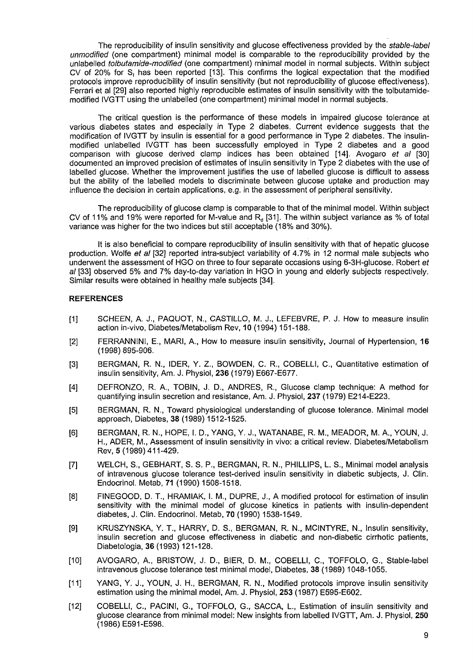The reproducibility of insulin sensitivity and glucose effectiveness provided by the stable-label unmodified (one compartment) minimal model is comparable to the reproducibility provided by the unlabelled *tolbutamide-modified* (one compartment) minimal model in normal subjects. Within subject CV of 20% for S, has been reported [13]. This confirms the logical expectation that the modified protocols improve reproducibility of insulin sensitivity (but not reproducibility of glucose effectiveness). Ferrari et al [29] also reported highly reproducible estimates of insulin sensitivity with the tolbutamidemodified IVGTT using the unlabelled (one compartment) minimal model in normal subjects.

The critical question is the performance of these models in impaired glucose tolerance at various diabetes states and especially in Type 2 diabetes. Current evidence suggests that the modification of IVGTT by insulin is essential for a good performance in Type 2 diabetes. The insulinmodified unlabelled IVGTT has been successfully employed in Type 2 diabetes and a good comparison with glucose derived clamp indices has been obtained  $[14]$ . Avogaro et al  $[30]$ documented an improved precision of estimates of insulin sensitivity in Type 2 diabetes with the use of labelled glucose. Whether the improvement justifies the use of labelled glucose is difficult to assess but the ability of the labelled models to discriminate between glucose uptake and production may influence the decision in certain applications, e.g. in the assessment of peripheral sensitivity.

The reproducibility of glucose clamp is comparable to that of the minimal model. Within subject CV of 11% and 19% were reported for M-value and  $R<sub>d</sub>$  [31]. The within subject variance as % of total variance was higher for the two indices but still acceptable (18% and 30%).

It is also beneficial to compare reproducibility of insulin sensitivity with that of hepatic glucose production. Wolfe et al [32] reported intra-subject variability of 4.7% in 12 normal male subjects who underwent the assessment of HGO on three to four separate occasions using 6-3H-glucose. Robert et al [33] observed 5% and 7% day-to-day variation in HGO in young and elderly subjects respectively. Similar results were obtained in healthy male subjects [34].

# **REFERENCES**

- [I] SCHEEN, A. J., PAQUOT, N., CASTILLO, M. J., LEFEBVRE, P. J. How to measure insulin action in-vivo, Diabetes/Metabolism Rev, 10 (1994) 151-188.
- [2] FERRANNINI, E., MARI, A., How to measure insulin sensitivity, Journal of Hypertension, 16 (1998) 895-906.
- [3] BERGMAN, R. N., IDER, Y. Z., BOWDEN, C. R., COBELLI, C., Quantitative estimation of insulin sensitivity, Am. J. Physiol, 236 (1979) E667-E677.
- [4] DEFRONZO, R. A., TOBIN, J. D., ANDRES, R., Glucose clamp technique: A method for quantifying insulin secretion and resistance, Am. J. Physiol, 237 (1979) E214-E223.
- [5] BERGMAN, R. N., Toward physiological understanding of glucose tolerance. Minimal model approach, Diabetes, 38 (1989) 1512-1525.
- [6] BERGMAN, R. N., HOPE, I. D., YANG, Y. J., WATANABE, R. M., MEADOR, M. A., YOUN, J. H., ADER, M., Assessment of insulin sensitivity in vivo: a critical review. Diabetes/Metabolism Rev, 5(1989)411-429.
- [7] WELCH, S., GEBHART, S. S. P., BERGMAN, R. N., PHILLIPS, L. S., Minimal model analysis of intravenous glucose tolerance test-derived insulin sensitivity in diabetic subjects, J. Clin. Endocrinol. Metab, 71 (1990) 1508-1518.
- [8] FINEGOOD, D. T., HRAMIAK, I. M., DUPRE, J., A modified protocol for estimation of insulin sensitivity with the minimal model of glucose kinetics in patients with insulin-dependent diabetes, J. Clin. Endocrinol. Metab, 70 (1990) 1538-1549.
- [9] KRUSZYNSKA, Y. T., HARRY, D. S., BERGMAN, R. N., MCINTYRE, N., Insulin sensitivity, insulin secretion and glucose effectiveness in diabetic and non-diabetic cirrhotic patients, Diabetologia, 36 (1993) 121-128.
- [10] AVOGARO, A., BRISTOW, J. D., BIER, D. M., COBELLI, C, TOFFOLO, G., Stable-label intravenous glucose tolerance test minimal model, Diabetes, 38 (1989) 1048-1055.
- [II] YANG, Y. J., YOUN, J. H., BERGMAN, R. N., Modified protocols improve insulin sensitivity estimation using the minimal model, Am. J. Physiol, 253 (1987) E595-E602.
- [12] COBELLI, C, PACINI, G., TOFFOLO, G., SACCA, L, Estimation of insulin sensitivity and glucose clearance from minimal model: New insights from labelled IVGTT, Am. J. Physiol, 250 (1986)E591-E598.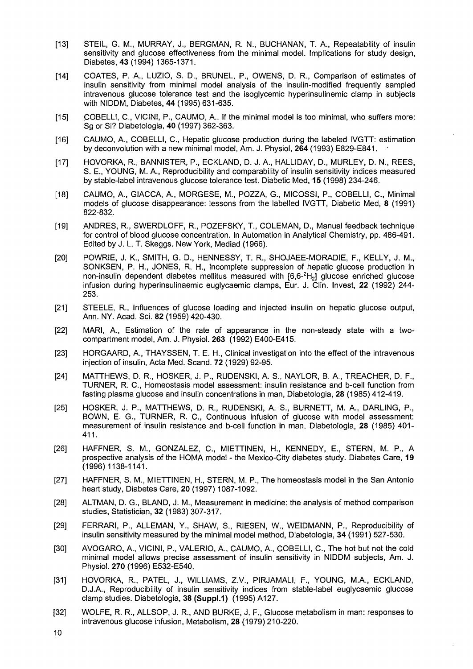- [13] STEIL, G. M., MURRAY, J., BERGMAN, R. N., BUCHANAN, T. A., Repeatability of insulin sensitivity and glucose effectiveness from the minimal model. Implications for study design, Diabetes, 43 (1994) 1365-1371.
- [14] COATES, P. A., LUZIO, S. D., BRUNEL, P., OWENS, D. R., Comparison of estimates of insulin sensitivity from minimal model analysis of the insulin-modified frequently sampled intravenous glucose tolerance test and the isoglycemic hyperinsulinemic clamp in subjects with NIDDM, Diabetes, **44** (1995) 631-635.
- [15] COBELLI, C., VICINI, P., CAUMO, A., If the minimal model is too minimal, who suffers more: Sg or Si? Diabetologia, 40 (1997) 362-363.
- [16] CAUMO, A., COBELLI, C, Hepatic glucose production during the labeled IVGTT: estimation by deconvolution with a new minimal model, Am. J. Physiol, **264** (1993) E829-E841. •
- [17] HOVORKA, R., BANNISTER, P., ECKLAND, D. J. A., HALLIDAY, D., MURLEY, D. N., REES, S. E., YOUNG, M. A., Reproducibility and comparability of insulin sensitivity indices measured by stable-label intravenous glucose tolerance test. Diabetic Med, 15 (1998) 234-246.
- [18] CAUMO, A., GIACCA, A., MORGESE, M., POZZA, G., MICOSSI, P., COBELLI, C, Minimal models of glucose disappearance: lessons from the labelled IVGTT, Diabetic Med, 8 (1991) 822-832.
- [19] ANDRES, R., SWERDLOFF, R., POZEFSKY, T., COLEMAN, D., Manual feedback technique for control of blood glucose concentration. In Automation in Analytical Chemistry, pp. 486-491. Edited by J. L. T. Skeggs. New York, Mediad (1966).
- [20] POWRIE, J. K., SMITH, G. D., HENNESSY, T. R., SHOJAEE-MORADIE, F., KELLY, J. M., SONKSEN, P. H., JONES, R. H., Incomplete suppression of hepatic glucose production in non-insulin dependent diabetes mellitus measured with [6,6-<sup>2</sup>H<sub>2</sub>] glucose enriched glucose infusion during hyperinsulinaemic euglycaemic clamps, Eur. J. Clin. Invest, **22** (1992) 244- 253.
- [21] STEELE, R., Influences of glucose loading and injected insulin on hepatic glucose output, Ann. NY. Acad. Sci. 82 (1959) 420-430.
- [22] MARI, A., Estimation of the rate of appearance in the non-steady state with a twocompartment model, Am. J. Physiol. **263** (1992) E400-E415.
- [23] HORGAARD, A., THAYSSEN, T. E. H., Clinical investigation into the effect of the intravenous injection of insulin, Acta Med. Scand. **72** (1929) 92-95.
- [24] MATTHEWS, D. R., HOSKER, J. P., RUDENSKI, A. S., NAYLOR, B. A., TREACHER, D. F., TURNER, R. C, Homeostasis model assessment: insulin resistance and b-cell function from fasting plasma glucose and insulin concentrations in man, Diabetologia, 28 (1985) 412-419.
- [25] HOSKER, J. P., MATTHEWS, D. R., RUDENSKI, A. S., BURNETT, M. A., DARLING, P., BOWN, E. G., TURNER, R. C, Continuous infusion of glucose with model assessment: measurement of insulin resistance and b-cell function in man. Diabetologia, 28 (1985) 401- 411.
- [26] HAFFNER, S. M., GONZALEZ, C, MIETTINEN, H., KENNEDY, E., STERN, M. P., A prospective analysis of the HOMA model - the Mexico-City diabetes study. Diabetes Care, 19 (1996)1138-1141.
- [27] HAFFNER, S. M., MIETTINEN, H., STERN, M. P., The homeostasis model in the San Antonio heart study, Diabetes Care, **20** (1997) 1087-1092.
- [28] ALTMAN, D. G., BLAND, J. M., Measurement in medicine: the analysis of method comparison studies, Statistician, 32 (1983) 307-317.
- [29] FERRARI, P., ALLEMAN, Y., SHAW, S., RIESEN, W., WEIDMANN, P., Reproducibility of insulin sensitivity measured by the minimal model method, Diabetologia, 34 (1991) 527-530.
- [30] AVOGARO, A., VICINI, P., VALERIO, A., CAUMO, A., COBELLI, C, The hot but not the cold minimal model allows precise assessment of insulin sensitivity in NIDDM subjects, Am. J. Physiol. **270** (1996) E532-E540.
- [31] HOVORKA, R., PATEL, J., WILLIAMS, Z.V., PIRJAMALI, F., YOUNG, M.A., ECKLAND, D.J.A., Reproducibility of insulin sensitivity indices from stable-label euglycaemic glucose clamp studies. Diabetologia, **38 (Suppl.1)** (1995) A127.
- [32] WOLFE, R. R., ALLSOP, J. R., AND BURKE, J. F., Glucose metabolism in man: responses to intravenous glucose infusion, Metabolism, 28 (1979) 210-220.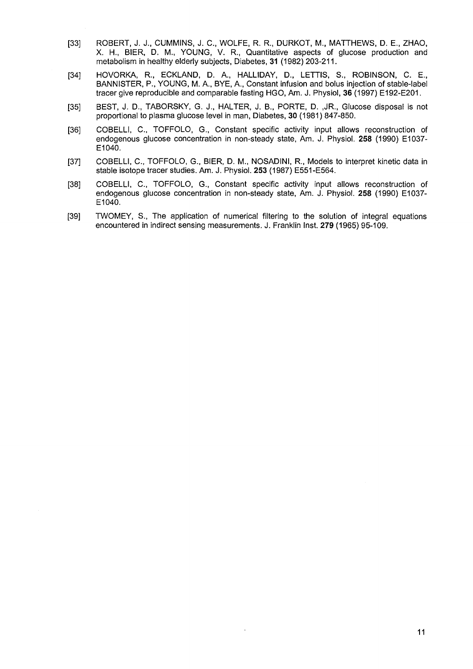- [33] ROBERT, J. J., CUMMINS, J. C, WOLFE, R. R., DURKOT, M., MATTHEWS, D. E., ZHAO, X. H., BIER, D. M., YOUNG, V. R., Quantitative aspects of glucose production and metabolism in healthy elderly subjects, Diabetes, 31 (1982) 203-211.
- [34] HOVORKA, R., ECKLAND, D. A., HALLIDAY, D., LETTIS, S., ROBINSON, C. E., BANNISTER, P., YOUNG, M. A., BYE, A., Constant infusion and bolus injection of stable-label tracer give reproducible and comparable fasting HGO, Am. J. Physiol, 36 (1997) E192-E201.
- [35] BEST, J. D., TABORSKY, G. J., HALTER, J. B., PORTE, D. ,JR., Glucose disposal is not proportional to plasma glucose level in man, Diabetes, 30 (1981) 847-850.
- [36] COBELLI, C., TOFFOLO, G., Constant specific activity input allows reconstruction of endogenous glucose concentration in non-steady state, Am. J. Physiol. **258** (1990) E1037- E1040.
- [37] COBELLI, C., TOFFOLO, G., BIER, D. M., NOSADINI, R., Models to interpret kinetic data in stable isotope tracer studies. Am. J. Physiol. **253** (1987) E551-E564.
- [38] COBELLI, C., TOFFOLO, G., Constant specific activity input allows reconstruction of endogenous glucose concentration in non-steady state, Am. J. Physiol. **258** (1990) E1037- E1040.
- [39] TWOMEY, S., The application of numerical filtering to the solution of integral equations encountered in indirect sensing measurements. J. Franklin Inst. **279** (1965) 95-109.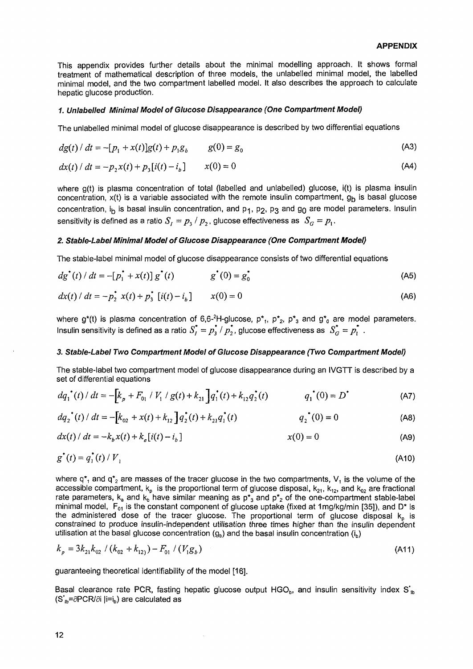This appendix provides further details about the minimal modelling approach. It shows formal treatment of mathematical description of three models, the unlabelled minimal model, the labelled minimal model, and the two compartment labelled model. It also describes the approach to calculate hepatic glucose production.

## **1. Unlabelled Minimal Model of Glucose Disappearance (One Compartment Model)**

The unlabelled minimal model of glucose disappearance is described by two differential equations

$$
dg(t) / dt = -[p_1 + x(t)]g(t) + p_1g_b \t g(0) = g_0 \t (A3)
$$

$$
dx(t) / dt = -p_2 x(t) + p_3 [i(t) - i_b] \qquad x(0) = 0
$$
 (A4)

where g(t) is plasma concentration of total (labelled and unlabelled) glucose, i(t) is plasma insulin concentration,  $x(t)$  is a variable associated with the remote insulin compartment,  $g_b$  is basal glucose concentration, i<sub>b</sub> is basal insulin concentration, and  $p_1$ ,  $p_2$ ,  $p_3$  and  $g_0$  are model parameters. Insulin sensitivity is defined as a ratio  $S_1 = p_3 / p_2$ , glucose effectiveness as  $S_G = p_1$ .

# **2. Stable-Label Minimal Model of Glucose Disappearance (One Compartment Model)**

The stable-label minimal model of glucose disappearance consists of two differential equations

$$
dg^*(t) / dt = -[p_1^* + x(t)] g^*(t) \qquad \qquad g^*(0) = g_0^* \tag{A5}
$$

$$
dx(t) / dt = -p_2^* x(t) + p_3^* [i(t) - i_b] \qquad x(0) = 0
$$
 (A6)

where  $g^*(t)$  is plasma concentration of 6,6-<sup>2</sup>H-glucose,  $p^*_{1}$ ,  $p^*_{2}$ ,  $p^*_{3}$  and  $g^*_{0}$  are model parameters. Insulin sensitivity is defined as a ratio  $S_L^* = p_\lambda^* / p_\lambda^*$ , glucose effectiveness as  $S_G^* = p_\lambda^*$ .

## **3. Stable-Label Two Compartment Model of Glucose Disappearance (Two Compartment Model)**

The stable-label two compartment model of glucose disappearance during an IVGTT is described by a set of differential equations

$$
dq_1^{\bullet}(t) / dt = -\left[k_p + F_{01} / V_1 / g(t) + k_{21}\right]q_1^{\bullet}(t) + k_{12}q_2^{\bullet}(t) \qquad q_1^{\bullet}(0) = D^{\bullet}
$$
 (A7)

$$
dq_2^*(t) / dt = -[k_{02} + x(t) + k_{12}]q_2^*(t) + k_{21}q_1^*(t)
$$
 (A8)

$$
dx(t) / dt = -k_b x(t) + k_a[i(t) - i_b]
$$
 (A9)

$$
g^*(t) = q_1^*(t) / V_1
$$
 (A10)

where  $q^*$ , and  $q^*$ <sub>2</sub> are masses of the tracer glucose in the two compartments,  $V$ , is the volume of the accessible compartment,  $k_{\sf p}$  is the proportional term of glucose disposal,  $k_{21}$ ,  $k_{12}$ , and  $k_{02}$  are fractional rate parameters,  $k_a$  and  $k_b$  have similar meaning as  $p^*_{3}$  and  $p^*_{2}$  of the one-compartment stable-label minimal model,  $F_{01}$  is the constant component of glucose uptake (fixed at 1mg/kg/min [35]), and D\* is the administered dose of the tracer glucose. The proportional term of glucose disposal  $k<sub>o</sub>$  is constrained to produce insulin-independent utilisation three times higher than the insulin dependent utilisation at the basal glucose concentration  $(q_b)$  and the basal insulin concentration  $(i_b)$ 

$$
k_p = 3k_{21}k_{02} / (k_{02} + k_{12}) - F_{01} / (V_1 g_b)
$$
\n(A11)

guaranteeing theoretical identifiability of the model [16].

Basal clearance rate PCR, fasting hepatic glucose output HGO<sub>b</sub>, and insulin sensitivity index  $S_{\text{th}}$  $(S<sub>n</sub>=\partial PCR/\partial i \vert i=i_{n})$  are calculated as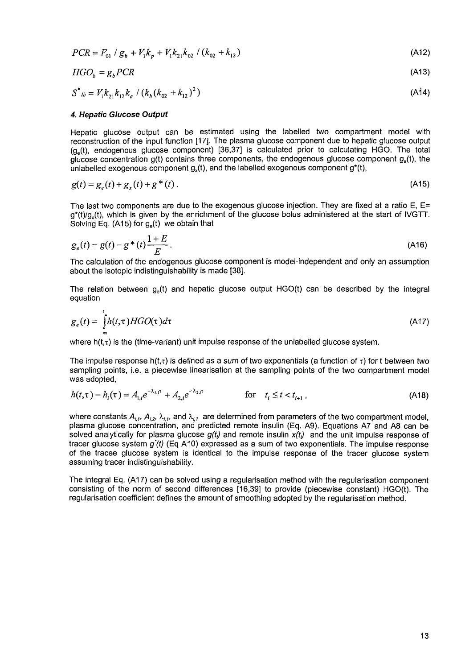$$
PCR = F_{01} / g_b + V_1 k_p + V_1 k_{21} k_{02} / (k_{02} + k_{12})
$$
\n(A12)

$$
HGO_b = g_b PCR \tag{A13}
$$

$$
S^{\star}_{lb} = V_1 k_{21} k_{12} k_a / (k_b (k_{02} + k_{12})^2)
$$
 (A14)

## **4. Hepatic Glucose Output**

Hepatic glucose output can be estimated using the labelled two compartment model with reconstruction of the input function [17]. The plasma glucose component due to hepatic glucose output  $(g<sub>e</sub>(t))$ , endogenous glucose component) [36,37] is calculated prior to calculating HGO. The total glucose concentration  $g(t)$  contains three components, the endogenous glucose component  $g_a(t)$ , the unlabelled exogenous component  $g_x(t)$ , and the labelled exogenous component  $g^*(t)$ ,

$$
g(t) = g_e(t) + g_x(t) + g^*(t).
$$
 (A15)

The last two components are due to the exogenous glucose injection. They are fixed at a ratio E, E=  $q^*(t)/q(t)$ , which is given by the enrichment of the glucose bolus administered at the start of IVGTT. Solving Eq. (A15) for  $q_e(t)$  we obtain that

$$
g_e(t) = g(t) - g^*(t) \frac{1+E}{E} \,. \tag{A16}
$$

The calculation of the endogenous glucose component is model-independent and only an assumption about the isotopic indistinguishability is made [38].

The relation between  $q<sub>s</sub>(t)$  and hepatic glucose output HGO(t) can be described by the integral equation

$$
g_e(t) = \int_{-\infty}^{t} h(t,\tau)HGO(\tau)d\tau
$$
\n(A17)

where  $h(t,\tau)$  is the (time-variant) unit impulse response of the unlabelled glucose system.

The impulse response h(t, $\tau$ ) is defined as a sum of two exponentials (a function of  $\tau$ ) for t between two sampling points, i.e. a piecewise linearisation at the sampling points of the two compartment model was adopted,

$$
h(t,\tau) = h_i(\tau) = A_{1,i}e^{-\lambda_{i,1}\tau} + A_{2,i}e^{-\lambda_{2,i}\tau} \qquad \text{for} \quad t_i \le t < t_{i+1},
$$
\n(A18)

where constants  $A_{i,j}$ ,  $A_{i,j}$ ,  $\lambda_{i,j}$ , and  $\lambda_{i,j}$  are determined from parameters of the two compartment model, plasma glucose concentration, and predicted remote insulin (Eq. A9). Equations A7 and A8 can be solved analytically for plasma glucose  $g(t)$  and remote insulin  $x(t)$  and the unit impulse response of tracer glucose system  $g'(t)$  (Eq A10) expressed as a sum of two exponentials. The impulse response of the tracee glucose system is identical to the impulse response of the tracer glucose system assuming tracer indistinguishability.

The integral Eq. (A17) can be solved using a regularisation method with the regularisation component consisting of the norm of second differences [16,39] to provide (piecewise constant) HGO(t). The regularisation coefficient defines the amount of smoothing adopted by the regularisation method.